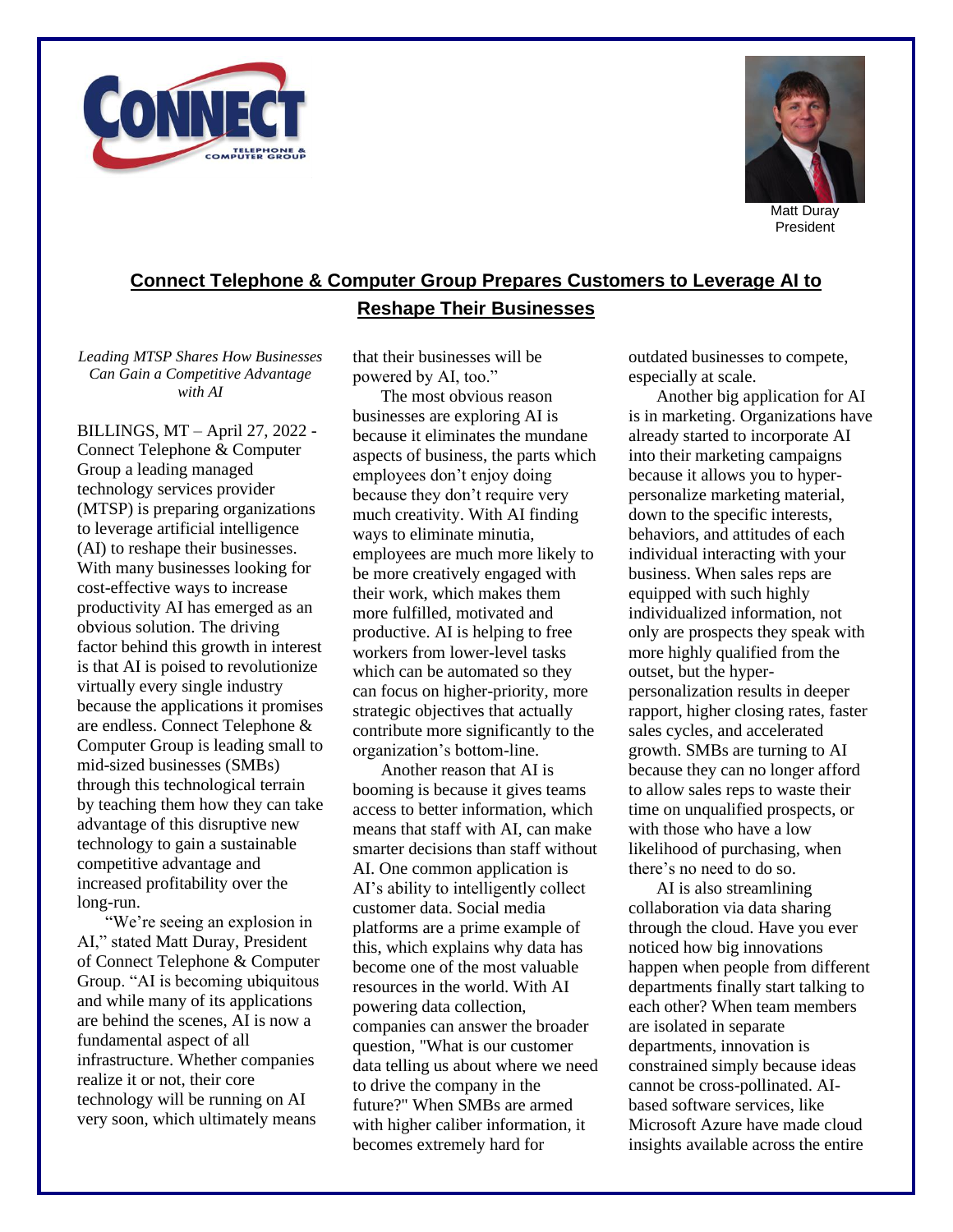



Matt Duray President

## **Connect Telephone & Computer Group Prepares Customers to Leverage AI to Reshape Their Businesses**

*Leading MTSP Shares How Businesses Can Gain a Competitive Advantage with AI*

BILLINGS, MT – April 27, 2022 - Connect Telephone & Computer Group a leading managed technology services provider (MTSP) is preparing organizations to leverage artificial intelligence (AI) to reshape their businesses. With many businesses looking for cost-effective ways to increase productivity AI has emerged as an obvious solution. The driving factor behind this growth in interest is that AI is poised to revolutionize virtually every single industry because the applications it promises are endless. Connect Telephone & Computer Group is leading small to mid-sized businesses (SMBs) through this technological terrain by teaching them how they can take advantage of this disruptive new technology to gain a sustainable competitive advantage and increased profitability over the long-run.

"We're seeing an explosion in AI," stated Matt Duray, President of Connect Telephone & Computer Group. "AI is becoming ubiquitous and while many of its applications are behind the scenes, AI is now a fundamental aspect of all infrastructure. Whether companies realize it or not, their core technology will be running on AI very soon, which ultimately means

that their businesses will be powered by AI, too."

The most obvious reason businesses are exploring AI is because it eliminates the mundane aspects of business, the parts which employees don't enjoy doing because they don't require very much creativity. With AI finding ways to eliminate minutia, employees are much more likely to be more creatively engaged with their work, which makes them more fulfilled, motivated and productive. AI is helping to free workers from lower-level tasks which can be automated so they can focus on higher-priority, more strategic objectives that actually contribute more significantly to the organization's bottom-line.

Another reason that AI is booming is because it gives teams access to better information, which means that staff with AI, can make smarter decisions than staff without AI. One common application is AI's ability to intelligently collect customer data. Social media platforms are a prime example of this, which explains why data has become one of the most valuable resources in the world. With AI powering data collection, companies can answer the broader question, "What is our customer data telling us about where we need to drive the company in the future?" When SMBs are armed with higher caliber information, it becomes extremely hard for

outdated businesses to compete, especially at scale.

Another big application for AI is in marketing. Organizations have already started to incorporate AI into their marketing campaigns because it allows you to hyperpersonalize marketing material, down to the specific interests, behaviors, and attitudes of each individual interacting with your business. When sales reps are equipped with such highly individualized information, not only are prospects they speak with more highly qualified from the outset, but the hyperpersonalization results in deeper rapport, higher closing rates, faster sales cycles, and accelerated growth. SMBs are turning to AI because they can no longer afford to allow sales reps to waste their time on unqualified prospects, or with those who have a low likelihood of purchasing, when there's no need to do so.

AI is also streamlining collaboration via data sharing through the cloud. Have you ever noticed how big innovations happen when people from different departments finally start talking to each other? When team members are isolated in separate departments, innovation is constrained simply because ideas cannot be cross-pollinated. AIbased software services, like Microsoft Azure have made cloud insights available across the entire